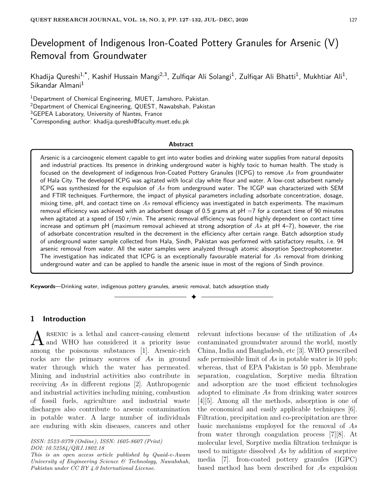# Development of Indigenous Iron-Coated Pottery Granules for Arsenic (V) Removal from Groundwater

Khadija Qureshi<sup>1,\*</sup>, Kashif Hussain Mangi<sup>2,3</sup>, Zulfiqar Ali Solangi<sup>1</sup>, Zulfiqar Ali Bhatti<sup>1</sup>, Mukhtiar Ali<sup>1</sup>, Sikandar Almani<sup>1</sup>

<sup>1</sup>Department of Chemical Engineering, MUET, Jamshoro, Pakistan.

<sup>2</sup>Department of Chemical Engineering, QUEST, Nawabshah, Pakistan

<sup>3</sup>GEPEA Laboratory, University of Nantes, France

\*Corresponding author: khadija.qureshi@faculty.muet.edu.pk

#### **Abstract**

Arsenic is a carcinogenic element capable to get into water bodies and drinking water supplies from natural deposits and industrial practices. Its presence in drinking underground water is highly toxic to human health. The study is focused on the development of indigenous Iron-Coated Pottery Granules (ICPG) to remove *As* from groundwater of Hala City. The developed ICPG was agitated with local clay white flour and water. A low-cost adsorbent namely ICPG was synthesized for the expulsion of *As* from underground water. The ICGP was characterized with SEM and FTIR techniques. Furthermore, the impact of physical parameters including adsorbate concentration, dosage, mixing time, pH, and contact time on *As* removal efficiency was investigated in batch experiments. The maximum removal efficiency was achieved with an adsorbent dosage of 0.5 grams at  $pH = 7$  for a contact time of 90 minutes when agitated at a speed of 150 r/min. The arsenic removal efficiency was found highly dependent on contact time increase and optimum pH (maximum removal achieved at strong adsorption of *As* at pH 4–7), however, the rise of adsorbate concentration resulted in the decrement in the efficiency after certain range. Batch adsorption study of underground water sample collected from Hala, Sindh, Pakistan was performed with satisfactory results, i.e. 94 arsenic removal from water. All the water samples were analyzed through atomic absorption Spectrophotometer. The investigation has indicated that ICPG is an exceptionally favourable material for *As* removal from drinking underground water and can be applied to handle the arsenic issue in most of the regions of Sindh province.

✦

**Keywords**—Drinking water, indigenous pottery granules, arsenic removal, batch adsorption study

# **1 Introduction**

A RSENIC is a lethal and cancer-causing element<br>and WHO has considered it a priority issue rsenic is a lethal and cancer-causing element among the poisonous substances [1]. Arsenic-rich rocks are the primary sources of *As* in ground water through which the water has permeated. Mining and industrial activities also contribute in receiving *As* in different regions [2]. Anthropogenic and industrial activities including mining, combustion of fossil fuels, agriculture and industrial waste discharges also contribute to arsenic contamination in potable water. A large number of individuals are enduring with skin diseases, cancers and other relevant infections because of the utilization of *As* contaminated groundwater around the world, mostly China, India and Bangladesh, etc [3]. WHO prescribed safe permissible limit of *As* in potable water is 10 ppb; whereas, that of EPA Pakistan is 50 ppb. Membrane separation, coagulation, Sorptive media filtration and adsorption are the most efficient technologies adopted to eliminate *As* from drinking water sources [4][5]. Among all the methods, adsorption is one of the economical and easily applicable techniques [6]. Filtration, precipitation and co-precipitation are three basic mechanisms employed for the removal of *As* from water through coagulation process [7][8]. At molecular level, Sorptive media filtration technique is used to mitigate dissolved *As* by addition of sorptive media [7]. Iron-coated pottery granules (IGPC) based method has been described for *As* expulsion

*ISSN: 2523-0379 (Online), ISSN: 1605-8607 (Print) DOI: 10.52584/QRJ.1802.18*

*This is an open access article published by Quaid-e-Awam University of Engineering Science & Technology, Nawabshah, Pakistan under CC BY 4.0 International License.*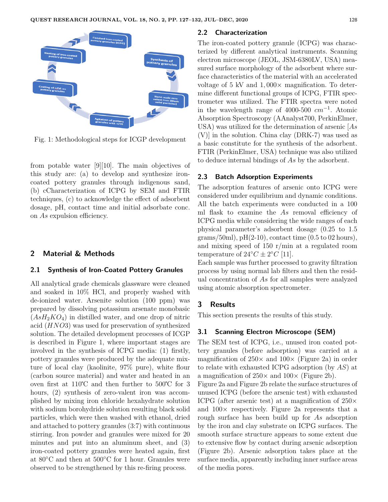

Fig. 1: Methodological steps for ICGP development

from potable water [9][10]. The main objectives of this study are: (a) to develop and synthesize ironcoated pottery granules through indigenous sand, (b) cCharacterization of ICPG by SEM and FTIR techniques, (c) to acknowledge the effect of adsorbent dosage, pH, contact time and initial adsorbate conc. on *As* expulsion efficiency.

## **2 Material & Methods**

# **2.1 Synthesis of Iron-Coated Pottery Granules**

All analytical grade chemicals glassware were cleaned and soaked in 10% HCl, and properly washed with de-ionized water. Arsenite solution (100 ppm) was prepared by dissolving potassium arsenate monobasic  $(AsH<sub>2</sub>KO<sub>4</sub>)$  in distilled water, and one drop of nitric acid (*HNO*3) was used for preservation of synthesized solution. The detailed development processes of ICGP is described in Figure 1, where important stages are involved in the synthesis of ICPG media: (1) firstly, pottery granules were produced by the adequate mixture of local clay (kaolinite, 97% pure), white flour (carbon source material) and water and heated in an oven first at 110℃ and then further to 500℃ for 3 hours,  $(2)$  synthesis of zero-valent iron was accomplished by mixing iron chloride hexahydrate solution with sodium borohydride solution resulting black solid particles, which were then washed with ethanol, dried and attached to pottery granules (3:7) with continuous stirring. Iron powder and granules were mixed for 20 minutes and put into an aluminum sheet, and (3) iron-coated pottery granules were heated again, first at  $80^{\circ}$ C and then at  $500^{\circ}$ C for 1 hour. Granules were observed to be strengthened by this re-firing process.

#### **2.2 Characterization**

The iron-coated pottery granule (ICPG) was characterized by different analytical instruments. Scanning electron microscope (JEOL, JSM-6380LV, USA) measured surface morphology of the adsorbent where surface characteristics of the material with an accelerated voltage of 5 kV and 1*,* 000× magnification. To determine different functional groups of ICPG, FTIR spectrometer was utilized. The FTIR spectra were noted in the wavelength range of 4000-500 *cm*−<sup>1</sup> . Atomic Absorption Spectroscopy (AAnalyst700, PerkinElmer, USA) was utilized for the determination of arsenic [*As* (V)] in the solution. China clay (DRK-7) was used as a basic constitute for the synthesis of the adsorbent. FTIR (PerkinElmer, USA) technique was also utilized to deduce internal bindings of *As* by the adsorbent.

#### **2.3 Batch Adsorption Experiments**

The adsorption features of arsenic onto ICPG were considered under equilibrium and dynamic conditions. All the batch experiments were conducted in a 100 ml flask to examine the *As* removal efficiency of ICPG media while considering the wide ranges of each physical parameter's adsorbent dosage (0.25 to 1.5  $grams/50ml)$ ,  $pH(2-10)$ , contact time  $(0.5 \text{ to } 02 \text{ hours})$ , and mixing speed of 150 r/min at a regulated room temperature of  $24^{\circ}C \pm 2^{\circ}C$  [11].

Each sample was further processed to gravity filtration process by using normal lab filters and then the residual concentration of *As* for all samples were analyzed using atomic absorption spectrometer.

## **3 Results**

This section presents the results of this study.

## **3.1 Scanning Electron Microscope (SEM)**

The SEM test of ICPG, i.e., unused iron coated pottery granules (before adsorption) was carried at a magnification of  $250 \times$  and  $100 \times$  (Figure 2a) in order to relate with exhausted ICPG adsorption (by *AS*) at a magnification of  $250 \times$  and  $100 \times$  (Figure 2b).

Figure 2a and Figure 2b relate the surface structures of unused ICPG (before the arsenic test) with exhausted ICPG (after arsenic test) at a magnification of  $250\times$ and  $100\times$  respectively. Figure 2a represents that a rough surface has been build up for *As* adsorption by the iron and clay substrate on ICPG surfaces. The smooth surface structure appears to some extent due to extensive flow by contact during arsenic adsorption (Figure 2b). Arsenic adsorption takes place at the surface media, apparently including inner surface areas of the media pores.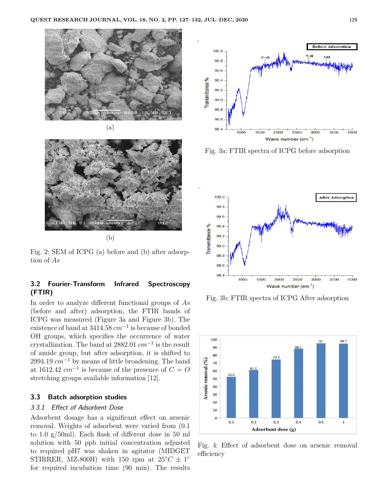



(b)

Fig. 2: SEM of ICPG (a) before and (b) after adsorption of *As*

# **3.2 Fourier-Transform Infrared Spectroscopy (FTIR)**

In order to analyze different functional groups of *As* (before and after) adsorption, the FTIR bands of ICPG was measured (Figure 3a and Figure 3b). The existence of band at 3414.58 *cm*−<sup>1</sup> is because of bonded OH groups, which specifies the occurrence of water crystallization. The band at 2882.01 *cm*<sup>−</sup><sup>1</sup> is the result of amide group, but after adsorption, it is shifted to 2994.19 *cm*<sup>−</sup><sup>1</sup> by means of little broadening. The band at 1612.42  $cm^{-1}$  is because of the presence of  $C = O$ stretching groups available information [12].

## **3.3 Batch adsorption studies**

## 3.3.1 Effect of Adsorbent Dose

Adsorbent dosage has a significant effect on arsenic removal. Weights of adsorbent were varied from (0.1 to 1.0 g/50ml). Each flask of different dose in 50 ml solution with 50 ppb initial concentration adjusted to required pH7 was shaken in agitator (MIDGET STIRRER, MZ-800H) with 150 rpm at  $25^{\circ}C \pm 1^{\circ}$ for required incubation time (90 min). The results



Fig. 3a: FTIR spectra of ICPG before adsorption



Fig. 3b: FTIR spectra of ICPG After adsorption



Fig. 4: Effect of adsorbent dose on arsenic removal efficiency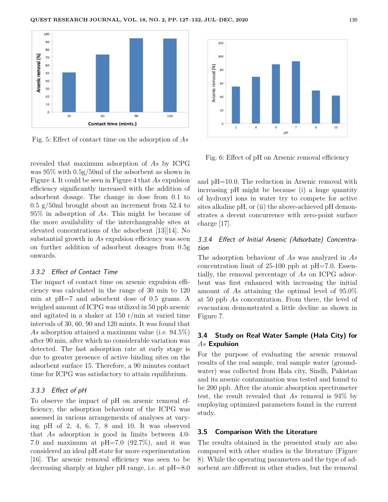

Fig. 5: Effect of contact time on the adsorption of *As*

revealed that maximum adsorption of *As* by ICPG was 95% with 0.5g/50ml of the adsorbent as shown in Figure 4. It could be seen in Figure 4 that *As* expulsion efficiency significantly increased with the addition of adsorbent dosage. The change in dose from 0.1 to 0.5 g/50ml brought about an increment from 52.4 to 95% in adsorption of *As*. This might be because of the more availability of the interchangeable sites at elevated concentrations of the adsorbent [13][14]. No substantial growth in *As* expulsion efficiency was seen on further addition of adsorbent dosages from 0.5g onwards.

#### 3.3.2 Effect of Contact Time

The impact of contact time on arsenic expulsion efficiency was calculated in the range of 30 min to 120 min at pH=7 and adsorbent dose of 0.5 grams. A weighed amount of ICPG was utilized in 50 ppb arsenic and agitated in a shaker at 150 r/min at varied time intervals of 30, 60, 90 and 120 mints. It was found that *As* adsorption attained a maximum value (i.e. 94.5%) after 90 min, after which no considerable variation was detected. The fast adsorption rate at early stage is due to greater presence of active binding sites on the adsorbent surface 15. Therefore, a 90 minutes contact time for ICPG was satisfactory to attain equilibrium.

#### 3.3.3 Effect of pH

To observe the impact of pH on arsenic removal efficiency, the adsorption behaviour of the ICPG was assessed in various arrangements of analyses at varying pH of 2, 4, 6, 7, 8 and 10. It was observed that *As* adsorption is good in limits between 4.0- 7.0 and maximum at  $pH=7.0$  (92.7%), and it was considered an ideal pH state for more experimentation [16]. The arsenic removal efficiency was seen to be decreasing sharply at higher pH range, i.e. at pH=8.0



Fig. 6: Effect of pH on Arsenic removal efficiency

and pH=10.0. The reduction in Arsenic removal with increasing pH might be because (i) a huge quantity of hydroxyl ions in water try to compete for active sites alkaline pH, or (ii) the above-achieved pH demonstrates a decent concurrence with zero-point surface charge [17].

# 3.3.4 Effect of Initial Arsenic (Adsorbate) Concentration

The adsorption behaviour of *As* was analyzed in *As* concentration limit of 25-100 ppb at pH=7.0. Essentially, the removal percentage of *As* on ICPG adsorbent was first enhanced with increasing the initial amount of *As* attaining the optimal level of 95.0% at 50 ppb *As* concentration. From there, the level of evacuation demonstrated a little decline as shown in Figure 7.

# **3.4 Study on Real Water Sample (Hala City) for** *As* **Expulsion**

For the purpose of evaluating the arsenic removal results of the real sample, real sample water (groundwater) was collected from Hala city, Sindh, Pakistan and its arsenic contamination was tested and found to be 200 ppb. After the atomic absorption spectrometer test, the result revealed that *As* removal is 94% by employing optimized parameters found in the current study.

# **3.5 Comparison With the Literature**

The results obtained in the presented study are also compared with other studies in the literature (Figure 8). While the operating parameters and the type of adsorbent are different in other studies, but the removal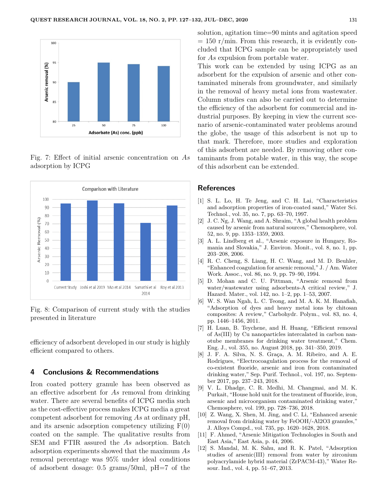

Fig. 7: Effect of initial arsenic concentration on *As* adsorption by ICPG



Fig. 8: Comparison of current study with the studies presented in literature

efficiency of adsorbent developed in our study is highly efficient compared to others.

#### **4 Conclusions & Recommendations**

Iron coated pottery granule has been observed as an effective adsorbent for *As* removal from drinking water. There are several benefits of ICPG media such as the cost-effective process makes ICPG media a great competent adsorbent for removing *As* at ordinary pH, and its arsenic adsorption competency utilizing  $F(0)$ coated on the sample. The qualitative results from SEM and FTIR assured the *As* adsorption. Batch adsorption experiments showed that the maximum *As* removal percentage was 95% under ideal conditions of adsorbent dosage: 0.5 grams/50ml, pH=7 of the solution, agitation time=90 mints and agitation speed  $= 150$  r/min. From this research, it is evidently concluded that ICPG sample can be appropriately used for *As* expulsion from portable water.

This work can be extended by using ICPG as an adsorbent for the expulsion of arsenic and other contaminated minerals from groundwater, and similarly in the removal of heavy metal ions from wastewater. Column studies can also be carried out to determine the efficiency of the adsorbent for commercial and industrial purposes. By keeping in view the current scenario of arsenic-contaminated water problems around the globe, the usage of this adsorbent is not up to that mark. Therefore, more studies and exploration of this adsorbent are needed. By removing other contaminants from potable water, in this way, the scope of this adsorbent can be extended.

## **References**

- [1] S. L. Lo, H. Te Jeng, and C. H. Lai, "Characteristics and adsorption properties of iron-coated sand," Water Sci. Technol., vol. 35, no. 7, pp. 63–70, 1997.
- [2] J. C. Ng, J. Wang, and A. Shraim, "A global health problem caused by arsenic from natural sources," Chemosphere, vol. 52, no. 9, pp. 1353–1359, 2003.
- [3] A. L. Lindberg et al., "Arsenic exposure in Hungary, Romania and Slovakia," J. Environ. Monit., vol. 8, no. 1, pp. 203–208, 2006.
- [4] R. C. Cheng, S. Liang, H. C. Wang, and M. D. Beuhler, "Enhanced coagulation for arsenic removal," J. / Am. Water Work. Assoc., vol. 86, no. 9, pp. 79–90, 1994.
- [5] D. Mohan and C. U. Pittman, "Arsenic removal from water/wastewater using adsorbents-A critical review," J. Hazard. Mater., vol. 142, no. 1–2, pp. 1–53, 2007.
- [6] W. S. Wan Ngah, L. C. Teong, and M. A. K. M. Hanafiah, "Adsorption of dyes and heavy metal ions by chitosan composites: A review," Carbohydr. Polym., vol. 83, no. 4, pp. 1446–1456, 2011.
- [7] H. Luan, B. Teychene, and H. Huang, "Efficient removal of As(III) by Cu nanoparticles intercalated in carbon nanotube membranes for drinking water treatment," Chem. Eng. J., vol. 355, no. August 2018, pp. 341–350, 2019.
- [8] J. F. A. Silva, N. S. Graça, A. M. Ribeiro, and A. E. Rodrigues, "Electrocoagulation process for the removal of co-existent fluoride, arsenic and iron from contaminated drinking water," Sep. Purif. Technol., vol. 197, no. September 2017, pp. 237–243, 2018.
- [9] V. L. Dhadge, C. R. Medhi, M. Changmai, and M. K. Purkait, "House hold unit for the treatment of fluoride, iron, arsenic and microorganism contaminated drinking water," Chemosphere, vol. 199, pp. 728–736, 2018.
- [10] Z. Wang, X. Shen, M. Jing, and C. Li, "Enhanced arsenic removal from drinking water by FeOOH/-Al2O3 granules," J. Alloys Compd., vol. 735, pp. 1620–1628, 2018.
- [11] F. Ahmed, "Arsenic Mitigation Technologies in South and East Asia," East Asia, p. 44, 2006.
- [12] S. Mandal, M. K. Sahu, and R. K. Patel, "Adsorption studies of arsenic(III) removal from water by zirconium polyacrylamide hybrid material (ZrPACM-43)," Water Resour. Ind., vol. 4, pp. 51–67, 2013.